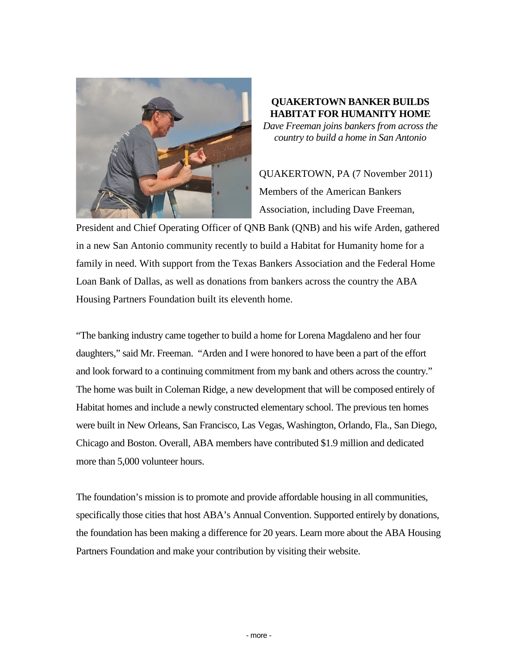

## **QUAKERTOWN BANKER BUILDS HABITAT FOR HUMANITY HOME**

*Dave Freeman joins bankers from across the country to build a home in San Antonio*

QUAKERTOWN, PA (7 November 2011) Members of the American Bankers Association, including Dave Freeman,

President and Chief Operating Officer of QNB Bank (QNB) and his wife Arden, gathered in a new San Antonio community recently to build a Habitat for Humanity home for a family in need. With support from the Texas Bankers Association and the Federal Home Loan Bank of Dallas, as well as donations from bankers across the country the ABA Housing Partners Foundation built its eleventh home.

"The banking industry came together to build a home for Lorena Magdaleno and her four daughters," said Mr. Freeman. "Arden and I were honored to have been a part of the effort and look forward to a continuing commitment from my bank and others across the country." The home was built in Coleman Ridge, a new development that will be composed entirely of Habitat homes and include a newly constructed elementary school. The previous ten homes were built in New Orleans, San Francisco, Las Vegas, Washington, Orlando, Fla., San Diego, Chicago and Boston. Overall, ABA members have contributed \$1.9 million and dedicated more than 5,000 volunteer hours.

The foundation's mission is to promote and provide affordable housing in all communities, specifically those cities that host ABA's Annual Convention. Supported entirely by donations, the foundation has been making a difference for 20 years. Learn more about the ABA Housing Partners Foundation and make your contribution by visiting their website.